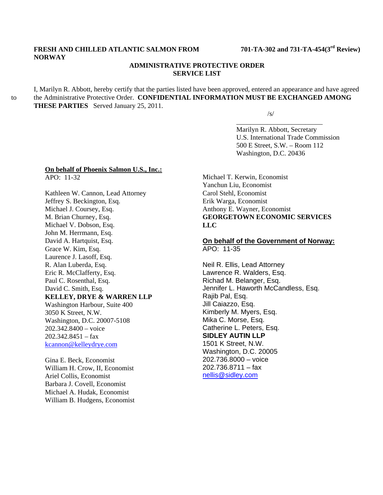# **FRESH AND CHILLED ATLANTIC SALMON FROM 701-TA-302 and 731-TA-454(3rd Review) NORWAY**

## **ADMINISTRATIVE PROTECTIVE ORDER SERVICE LIST**

I, Marilyn R. Abbott, hereby certify that the parties listed have been approved, entered an appearance and have agreed to the Administrative Protective Order. **CONFIDENTIAL INFORMATION MUST BE EXCHANGED AMONG THESE PARTIES** Served January 25, 2011.

 $\overline{\phantom{a}}$  , and the contract of the contract of the contract of the contract of the contract of the contract of the contract of the contract of the contract of the contract of the contract of the contract of the contrac

 $\sqrt{s}$ /s/

 Marilyn R. Abbott, Secretary U.S. International Trade Commission 500 E Street, S.W. – Room 112 Washington, D.C. 20436

#### **On behalf of Phoenix Salmon U.S., Inc.:** APO: 11-32

Kathleen W. Cannon, Lead Attorney Jeffrey S. Beckington, Esq. Michael J. Coursey, Esq. M. Brian Churney, Esq. Michael V. Dobson, Esq. John M. Herrmann, Esq. David A. Hartquist, Esq. Grace W. Kim, Esq. Laurence J. Lasoff, Esq. R. Alan Luberda, Esq. Eric R. McClafferty, Esq. Paul C. Rosenthal, Esq. David C. Smith, Esq. **KELLEY, DRYE & WARREN LLP** Washington Harbour, Suite 400 3050 K Street, N.W. Washington, D.C. 20007-5108 202.342.8400 – voice  $202.342.8451 - fax$ kcannon@kelleydrye.com

Gina E. Beck, Economist William H. Crow, II, Economist Ariel Collis, Economist Barbara J. Covell, Economist Michael A. Hudak, Economist William B. Hudgens, Economist

Michael T. Kerwin, Economist Yanchun Liu, Economist Carol Stehl, Economist Erik Warga, Economist Anthony E. Wayner, Economist **GEORGETOWN ECONOMIC SERVICES LLC** 

### **On behalf of the Government of Norway:** APO: 11-35

Neil R. Ellis, Lead Attorney Lawrence R. Walders, Esq. Richad M. Belanger, Esq. Jennifer L. Haworth McCandless, Esq. Rajib Pal, Esq. Jill Caiazzo, Esq. Kimberly M. Myers, Esq. Mika C. Morse, Esq. Catherine L. Peters, Esq. **SIDLEY AUTIN LLP**  1501 K Street, N.W. Washington, D.C. 20005 202.736.8000 – voice 202.736.8711 – fax nellis@sidley.com